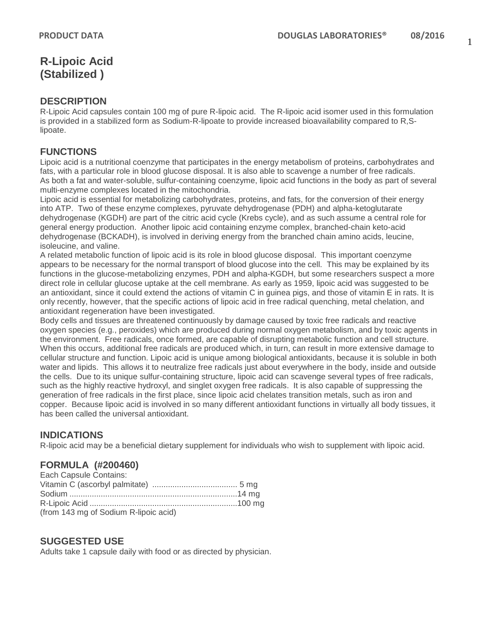# **R-Lipoic Acid (Stabilized )**

### **DESCRIPTION**

R-Lipoic Acid capsules contain 100 mg of pure R-lipoic acid. The R-lipoic acid isomer used in this formulation is provided in a stabilized form as Sodium-R-lipoate to provide increased bioavailability compared to R,Slipoate.

## **FUNCTIONS**

Lipoic acid is a nutritional coenzyme that participates in the energy metabolism of proteins, carbohydrates and fats, with a particular role in blood glucose disposal. It is also able to scavenge a number of free radicals. As both a fat and water-soluble, sulfur-containing coenzyme, lipoic acid functions in the body as part of several multi-enzyme complexes located in the mitochondria.

Lipoic acid is essential for metabolizing carbohydrates, proteins, and fats, for the conversion of their energy into ATP. Two of these enzyme complexes, pyruvate dehydrogenase (PDH) and alpha-ketoglutarate dehydrogenase (KGDH) are part of the citric acid cycle (Krebs cycle), and as such assume a central role for general energy production. Another lipoic acid containing enzyme complex, branched-chain keto-acid dehydrogenase (BCKADH), is involved in deriving energy from the branched chain amino acids, leucine, isoleucine, and valine.

A related metabolic function of lipoic acid is its role in blood glucose disposal. This important coenzyme appears to be necessary for the normal transport of blood glucose into the cell. This may be explained by its functions in the glucose-metabolizing enzymes, PDH and alpha-KGDH, but some researchers suspect a more direct role in cellular glucose uptake at the cell membrane. As early as 1959, lipoic acid was suggested to be an antioxidant, since it could extend the actions of vitamin C in guinea pigs, and those of vitamin E in rats. It is only recently, however, that the specific actions of lipoic acid in free radical quenching, metal chelation, and antioxidant regeneration have been investigated.

Body cells and tissues are threatened continuously by damage caused by toxic free radicals and reactive oxygen species (e.g., peroxides) which are produced during normal oxygen metabolism, and by toxic agents in the environment. Free radicals, once formed, are capable of disrupting metabolic function and cell structure. When this occurs, additional free radicals are produced which, in turn, can result in more extensive damage to cellular structure and function. Lipoic acid is unique among biological antioxidants, because it is soluble in both water and lipids. This allows it to neutralize free radicals just about everywhere in the body, inside and outside the cells. Due to its unique sulfur-containing structure, lipoic acid can scavenge several types of free radicals, such as the highly reactive hydroxyl, and singlet oxygen free radicals. It is also capable of suppressing the generation of free radicals in the first place, since lipoic acid chelates transition metals, such as iron and copper. Because lipoic acid is involved in so many different antioxidant functions in virtually all body tissues, it has been called the universal antioxidant.

## **INDICATIONS**

R-lipoic acid may be a beneficial dietary supplement for individuals who wish to supplement with lipoic acid.

## **FORMULA (#200460)**

| Each Capsule Contains:                |  |
|---------------------------------------|--|
|                                       |  |
|                                       |  |
|                                       |  |
| (from 143 mg of Sodium R-lipoic acid) |  |

### **SUGGESTED USE**

Adults take 1 capsule daily with food or as directed by physician.